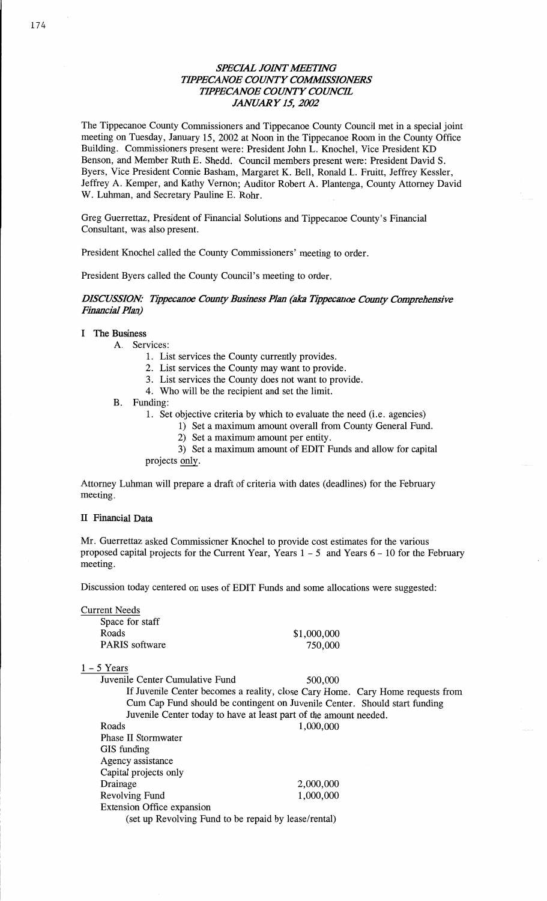## **SPECIAL JOINT MEETING** *' IPPB'CANOE COWTY COMMISSIONERS WPECANOE COWTY COUNCIL JANUARY* 15, *2002*

The Tippecanoe County Commissioners and Tippecanoe County Council met in a special joint **meeting** on Tuesday, January 15, 2002 at Noon in the Tippecanoe Room in the County Office Building. Commissioners present were: President John L. Knochel, Vice President KD **Benson,** and Member Ruth B. Shedd. Council members present were: President David S. Byers, Vice President Connie **Basham,** Margaret K. Bell, **Ronald** L. Fruitt, Jeffrey Kessler, Jeffrey A. Kemper, and **Kathy Vernon;** Auditor Robert A. **Plantenga,** County Attorney David W. Luhman, and Secretary Pauline E. Rohr.

Greg Guerrettaz, **President** of **Financial** Solutions and **Tippecahoe County's Financial**  Consultant, was **also** present.

President Knochel called the **County** Commissioners' meeting to **order.** 

President Byers called the County Council's meeting to order.

## *DISCUSSION: Tippecanoe County Business Plan* (ah *Tippecanoe County Comprehensive Financial Plan)*

### I The **Business**

A. Services:

1. List services the County currently provides,

- 2. List services the County may want to **provide.**
- 3. List services the County does not want to provide.
- 4. Who will be the recipient and set the limit.
- B. Funding:

1. Set objective criteria by which to evaluate the need (i.e. agencies)

- 1) Set a **maximum** amount overall from County General Fund.
	- 2) Set **a maximum amount** per entity.

3) Set a **maximum** amount of EDIT Funds and allow for capital

projects only.

Attorney **Luhman** will prepare **a** draft of criteria with dates (deadlines) for the February meeting,

#### *H* **Financial Data**

Mr. Guerrettaz asked **Commissioner Knochel** to provide cost **estimates** for the various proposed capital **projects** for the Current Year, Years **1 —** 5 and Years **6 —** 10 for the February meeting.

**Discussion** today **centered** on uses of **EDIT** Funds and some **allocations** were suggested:

| <b>Current Needs</b><br>Space for staff                           |                                                                                |
|-------------------------------------------------------------------|--------------------------------------------------------------------------------|
| Roads                                                             | \$1,000,000                                                                    |
| <b>PARIS</b> software                                             | 750,000                                                                        |
| $1 - 5$ Years                                                     |                                                                                |
| Juvenile Center Cumulative Fund                                   | 500,000                                                                        |
|                                                                   | If Juvenile Center becomes a reality, close Cary Home. Cary Home requests from |
|                                                                   | Cum Cap Fund should be contingent on Juvenile Center. Should start funding     |
| Juvenile Center today to have at least part of the amount needed. |                                                                                |
| Roads                                                             | 1,000,000                                                                      |
| <b>Phase II Stormwater</b>                                        |                                                                                |
| GIS funding                                                       |                                                                                |
| Agency assistance                                                 |                                                                                |
| Capital projects only                                             |                                                                                |

Extension Office expansion (set up Revolving Fund to be **repaid** by lease/rental)

Drainage 2,000,000 Revolving Fund 1,000,000